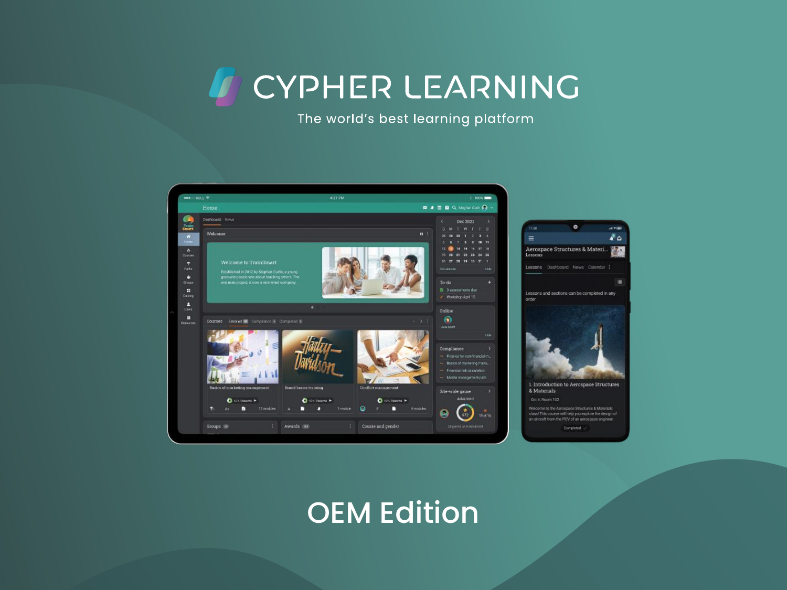CYPHER LEARNING which bibot rodining pro



## OEM Edition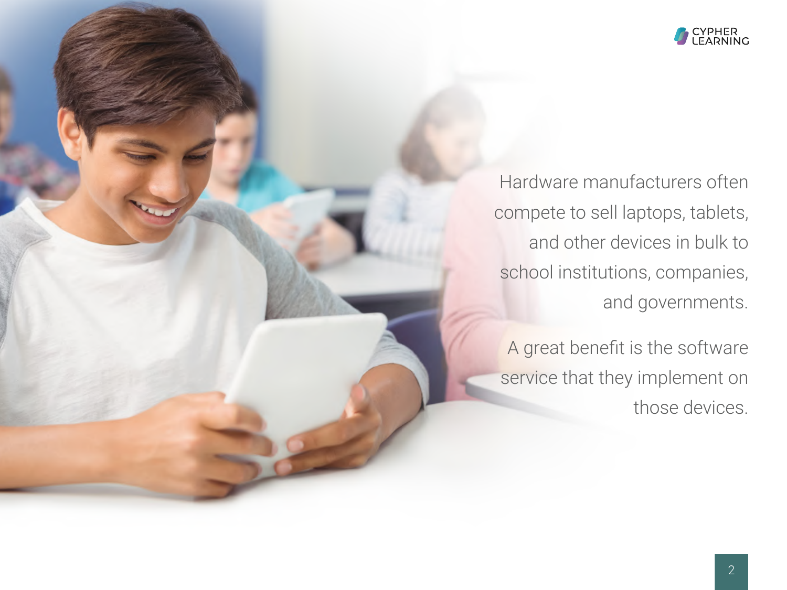

Hardware manufacturers often compete to sell laptops, tablets, and other devices in bulk to school institutions, companies, and governments.

A great benefit is the software service that they implement on those devices.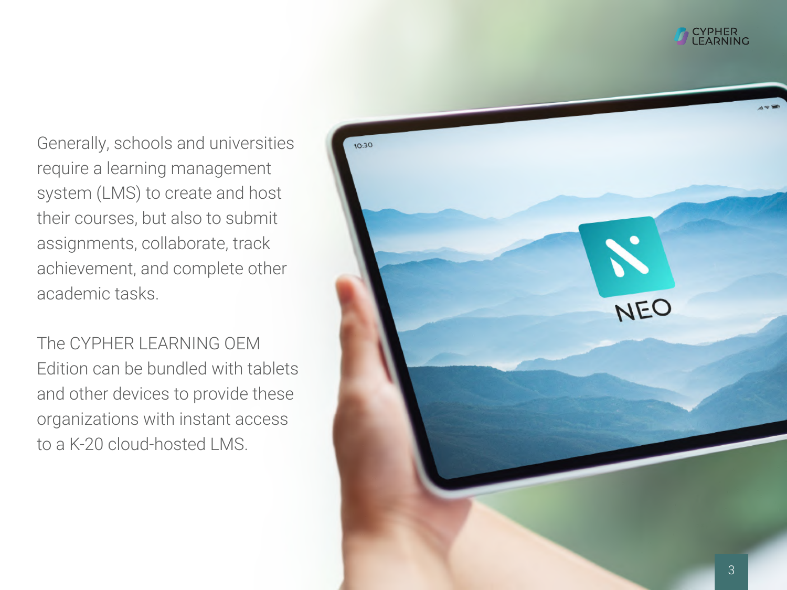

Generally, schools and universities require a learning management system (LMS) to create and host their courses, but also to submit assignments, collaborate, track achievement, and complete other academic tasks.

The CYPHER LEARNING OEM Edition can be bundled with tablets and other devices to provide these organizations with instant access to a K-20 cloud-hosted LMS.

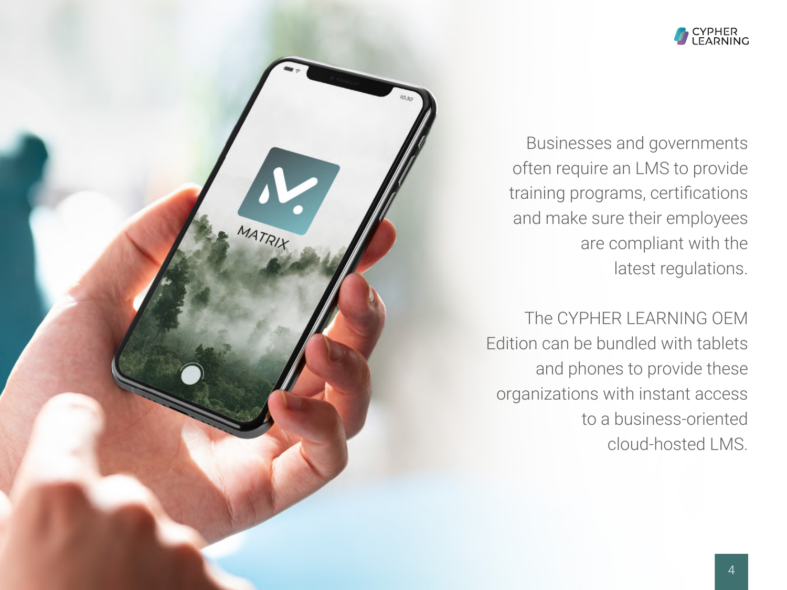

Businesses and governments often require an LMS to provide training programs, certifications and make sure their employees are compliant with the latest regulations.

MATRIX

The CYPHER LEARNING OEM Edition can be bundled with tablets and phones to provide these organizations with instant access to a business-oriented cloud-hosted LMS.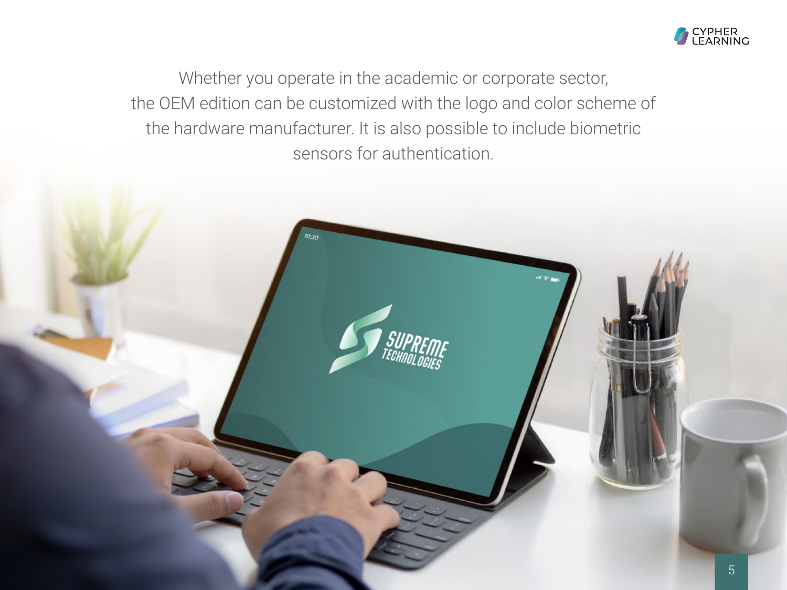

Whether you operate in the academic or corporate sector, the OEM edition can be customized with the logo and color scheme of the hardware manufacturer. It is also possible to include biometric sensors for authentication.

 $^{0.30}$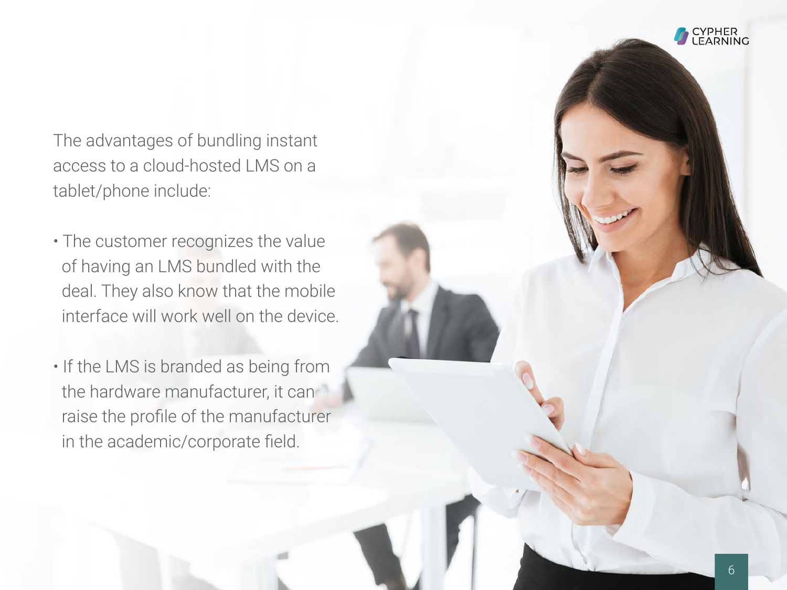The advantages of bundling instant access to a cloud-hosted LMS on a tablet/phone include:

- The customer recognizes the value of having an LMS bundled with the deal. They also know that the mobile interface will work well on the device.
- If the LMS is branded as being from the hardware manufacturer, it can raise the profile of the manufacturer in the academic/corporate field.